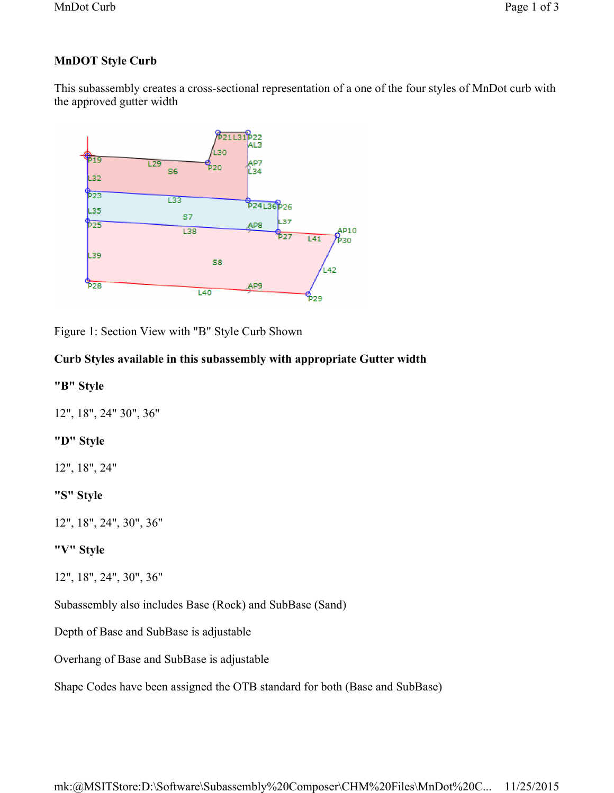# **MnDOT Style Curb**

This subassembly creates a cross-sectional representation of a one of the four styles of MnDot curb with the approved gutter width



Figure 1: Section View with "B" Style Curb Shown

# **Curb Styles available in this subassembly with appropriate Gutter width**

### **"B" Style**

12", 18", 24" 30", 36"

#### **"D" Style**

12", 18", 24"

#### **"S" Style**

12", 18", 24", 30", 36"

## **"V" Style**

12", 18", 24", 30", 36"

Subassembly also includes Base (Rock) and SubBase (Sand)

Depth of Base and SubBase is adjustable

Overhang of Base and SubBase is adjustable

Shape Codes have been assigned the OTB standard for both (Base and SubBase)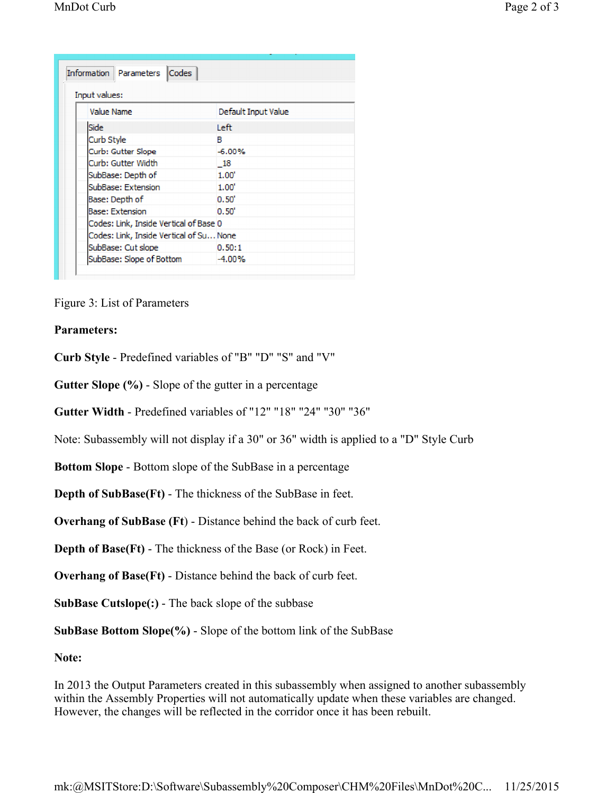| <b>Input values:</b>                    |                     |
|-----------------------------------------|---------------------|
| Value Name                              | Default Input Value |
| Side                                    | Teft.               |
| Curb Style                              | в                   |
| Curb: Gutter Slope                      | $-6.00%$            |
| Curb: Gutter Width                      | - 18                |
| SubBase: Depth of                       | 1.00'               |
| SubBase: Extension                      | 1.00'               |
| Base: Depth of                          | $0.50^{\circ}$      |
| <b>Base: Extension</b>                  | $0.50^{\circ}$      |
| Codes: Link, Inside Vertical of Base 0  |                     |
| Codes: Link, Inside Vertical of Su None |                     |
| SubBase: Cut slope                      | 0.50:1              |
| SubBase: Slope of Bottom                | $-4.00%$            |

Figure 3: List of Parameters

#### **Parameters:**

**Curb Style** - Predefined variables of "B" "D" "S" and "V"

**Gutter Slope (%)** - Slope of the gutter in a percentage

**Gutter Width** - Predefined variables of "12" "18" "24" "30" "36"

Note: Subassembly will not display if a 30" or 36" width is applied to a "D" Style Curb

**Bottom Slope** - Bottom slope of the SubBase in a percentage

**Depth of SubBase(Ft)** - The thickness of the SubBase in feet.

**Overhang of SubBase (Ft**) - Distance behind the back of curb feet.

**Depth of Base(Ft)** - The thickness of the Base (or Rock) in Feet.

**Overhang of Base(Ft)** - Distance behind the back of curb feet.

**SubBase Cutslope(:)** - The back slope of the subbase

**SubBase Bottom Slope(%)** - Slope of the bottom link of the SubBase

**Note:**

In 2013 the Output Parameters created in this subassembly when assigned to another subassembly within the Assembly Properties will not automatically update when these variables are changed. However, the changes will be reflected in the corridor once it has been rebuilt.